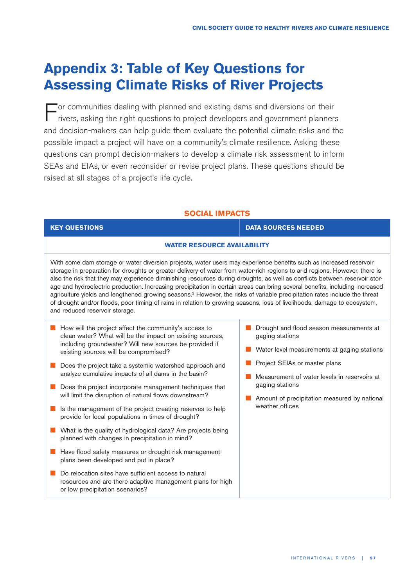# **Appendix 3: Table of Key Questions for Assessing Climate Risks of River Projects**

For communities dealing with planned and existing dams and diversions on their rivers, asking the right questions to project developers and government planners and decision-makers can help guide them evaluate the potential climate risks and the possible impact a project will have on a community's climate resilience. Asking these questions can prompt decision-makers to develop a climate risk assessment to inform SEAs and EIAs, or even reconsider or revise project plans. These questions should be raised at all stages of a project's life cycle.

## **SOCIAL IMPACTS**

| <b>KEY QUESTIONS</b>                                                                                                                                                                                                                                                                                                                                                                                                                                                                                                                                                                                                                                                                                                                                                                                                                                                                                                                                             | <b>DATA SOURCES NEEDED</b>                                                                                                                                                                                                                                                        |
|------------------------------------------------------------------------------------------------------------------------------------------------------------------------------------------------------------------------------------------------------------------------------------------------------------------------------------------------------------------------------------------------------------------------------------------------------------------------------------------------------------------------------------------------------------------------------------------------------------------------------------------------------------------------------------------------------------------------------------------------------------------------------------------------------------------------------------------------------------------------------------------------------------------------------------------------------------------|-----------------------------------------------------------------------------------------------------------------------------------------------------------------------------------------------------------------------------------------------------------------------------------|
| <b>WATER RESOURCE AVAILABILITY</b>                                                                                                                                                                                                                                                                                                                                                                                                                                                                                                                                                                                                                                                                                                                                                                                                                                                                                                                               |                                                                                                                                                                                                                                                                                   |
| With some dam storage or water diversion projects, water users may experience benefits such as increased reservoir<br>storage in preparation for droughts or greater delivery of water from water-rich regions to arid regions. However, there is<br>also the risk that they may experience diminishing resources during droughts, as well as conflicts between reservoir stor-<br>age and hydroelectric production. Increasing precipitation in certain areas can bring several benefits, including increased<br>agriculture yields and lengthened growing seasons. <sup>3</sup> However, the risks of variable precipitation rates include the threat<br>of drought and/or floods, poor timing of rains in relation to growing seasons, loss of livelihoods, damage to ecosystem,<br>and reduced reservoir storage.                                                                                                                                            |                                                                                                                                                                                                                                                                                   |
| How will the project affect the community's access to<br>clean water? What will be the impact on existing sources,<br>including groundwater? Will new sources be provided if<br>existing sources will be compromised?<br>Does the project take a systemic watershed approach and<br>analyze cumulative impacts of all dams in the basin?<br>Does the project incorporate management techniques that<br>will limit the disruption of natural flows downstream?<br>Is the management of the project creating reserves to help<br>provide for local populations in times of drought?<br>What is the quality of hydrological data? Are projects being<br>planned with changes in precipitation in mind?<br>Have flood safety measures or drought risk management<br>plans been developed and put in place?<br>Do relocation sites have sufficient access to natural<br>resources and are there adaptive management plans for high<br>or low precipitation scenarios? | Drought and flood season measurements at<br>gaging stations<br>Water level measurements at gaging stations<br>Project SEIAs or master plans<br>Measurement of water levels in reservoirs at<br>gaging stations<br>Amount of precipitation measured by national<br>weather offices |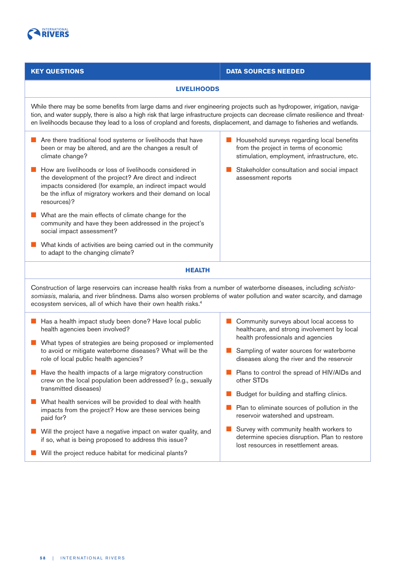

## **KEY QUESTIONS DATA SOURCES NEEDED**

### **LIVELIHOODS**

While there may be some benefits from large dams and river engineering projects such as hydropower, irrigation, navigation, and water supply, there is also a high risk that large infrastructure projects can decrease climate resilience and threaten livelihoods because they lead to a loss of cropland and forests, displacement, and damage to fisheries and wetlands.

- Are there traditional food systems or livelihoods that have been or may be altered, and are the changes a result of climate change?
- **L** How are livelihoods or loss of livelihoods considered in the development of the project? Are direct and indirect impacts considered (for example, an indirect impact would be the influx of migratory workers and their demand on local resources)?
- $\blacksquare$  What are the main effects of climate change for the community and have they been addressed in the project's social impact assessment?
- What kinds of activities are being carried out in the community to adapt to the changing climate?
- **D** Household surveys regarding local benefits from the project in terms of economic stimulation, employment, infrastructure, etc.
- G Stakeholder consultation and social impact assessment reports

## **HEALTH**

Construction of large reservoirs can increase health risks from a number of waterborne diseases, including schistosomiasis, malaria, and river blindness. Dams also worsen problems of water pollution and water scarcity, and damage ecosystem services, all of which have their own health risks. 4

- Has a health impact study been done? Have local public health agencies been involved?
- **Q** What types of strategies are being proposed or implemented to avoid or mitigate waterborne diseases? What will be the role of local public health agencies?
- $\blacksquare$  Have the health impacts of a large migratory construction crew on the local population been addressed? (e.g., sexually transmitted diseases)
- $\blacksquare$  What health services will be provided to deal with health impacts from the project? How are these services being paid for?
- **D** Will the project have a negative impact on water quality, and if so, what is being proposed to address this issue?
- Will the project reduce habitat for medicinal plants?
- $\blacksquare$  Community surveys about local access to healthcare, and strong involvement by local health professionals and agencies
- Sampling of water sources for waterborne diseases along the river and the reservoir
- **D** Plans to control the spread of HIV/AIDs and other STDs
- **D** Budget for building and staffing clinics.
- $\blacksquare$  Plan to eliminate sources of pollution in the reservoir watershed and upstream.
- $\blacksquare$  Survey with community health workers to determine species disruption. Plan to restore lost resources in resettlement areas.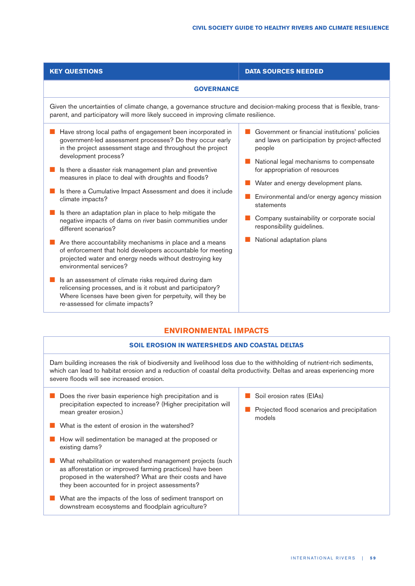| <b>GOVERNANCE</b>                                                                                                                                                                                                                                                                                                                                                                                  |  |
|----------------------------------------------------------------------------------------------------------------------------------------------------------------------------------------------------------------------------------------------------------------------------------------------------------------------------------------------------------------------------------------------------|--|
| Given the uncertainties of climate change, a governance structure and decision-making process that is flexible, trans-<br>parent, and participatory will more likely succeed in improving climate resilience.                                                                                                                                                                                      |  |
| Government or financial institutions' policies<br>and laws on participation by project-affected<br>people<br>National legal mechanisms to compensate<br>for appropriation of resources<br>Water and energy development plans.<br>Environmental and/or energy agency mission<br>statements<br>Company sustainability or corporate social<br>responsibility guidelines.<br>National adaptation plans |  |
|                                                                                                                                                                                                                                                                                                                                                                                                    |  |

## **SOIL EROSION IN WATERSHEDS AND COASTAL DELTAS**

Dam building increases the risk of biodiversity and livelihood loss due to the withholding of nutrient-rich sediments, which can lead to habitat erosion and a reduction of coastal delta productivity. Deltas and areas experiencing more severe floods will see increased erosion.

- $\blacksquare$  Does the river basin experience high precipitation and is precipitation expected to increase? (Higher precipitation will mean greater erosion.)
- $\blacksquare$  What is the extent of erosion in the watershed?
- $\blacksquare$  How will sedimentation be managed at the proposed or existing dams?
- **Q** What rehabilitation or watershed management projects (such as afforestation or improved farming practices) have been proposed in the watershed? What are their costs and have they been accounted for in project assessments?
- What are the impacts of the loss of sediment transport on downstream ecosystems and floodplain agriculture?
- Soil erosion rates (EIAs)
- **Projected flood scenarios and precipitation** models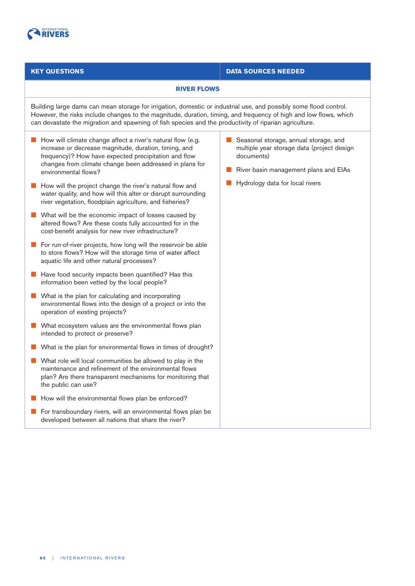

## **KEY QUESTIONS DATA SOURCES NEEDED**

### **RIVER FLOWS**

Building large dams can mean storage for irrigation, domestic or industrial use, and possibly some flood control. However, the risks include changes to the magnitude, duration, timing, and frequency of high and low flows, which can devastate the migration and spawning of fish species and the productivity of riparian agriculture.

- How will climate change affect a river's natural flow (e.g. increase or decrease magnitude, duration, timing, and frequency)? How have expected precipitation and flow changes from climate change been addressed in plans for environmental flows?
- $\blacksquare$  How will the project change the river's natural flow and water quality, and how will this alter or disrupt surrounding river vegetation, floodplain agriculture, and fisheries?
- $\blacksquare$  What will be the economic impact of losses caused by altered flows? Are these costs fully accounted for in the cost-benefit analysis for new river infrastructure?
- **D** For run-of-river projects, how long will the reservoir be able to store flows? How will the storage time of water affect aquatic life and other natural processes?
- $\blacksquare$  Have food security impacts been quantified? Has this information been vetted by the local people?
- $\blacksquare$  What is the plan for calculating and incorporating environmental flows into the design of a project or into the operation of existing projects?
- $\blacksquare$  What ecosystem values are the environmental flows plan intended to protect or preserve?
- $\blacksquare$  What is the plan for environmental flows in times of drought?
- $\blacksquare$  What role will local communities be allowed to play in the maintenance and refinement of the environmental flows plan? Are there transparent mechanisms for monitoring that the public can use?
- $\blacksquare$  How will the environmental flows plan be enforced?
- For transboundary rivers, will an environmental flows plan be developed between all nations that share the river?
- Seasonal storage, annual storage, and multiple year storage data (project design documents)
- **D** River basin management plans and EIAs
- $\blacksquare$  Hydrology data for local rivers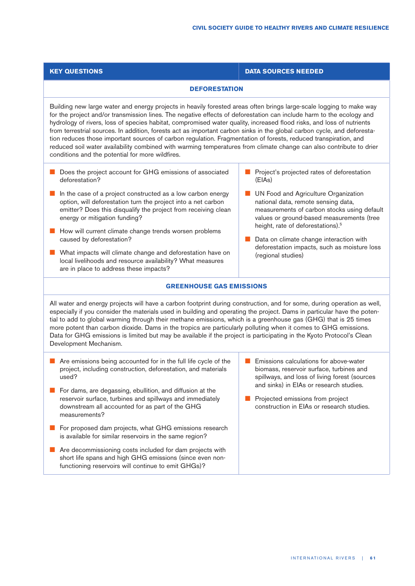| <b>KEY QUESTIONS</b>                                                                                                                                                                                                                                                                                                                                                                                                                                                                                                                                                                                                                                                                                                                                                                          | <b>DATA SOURCES NEEDED</b>                                                                                                                                                                                                                                                                                                                |
|-----------------------------------------------------------------------------------------------------------------------------------------------------------------------------------------------------------------------------------------------------------------------------------------------------------------------------------------------------------------------------------------------------------------------------------------------------------------------------------------------------------------------------------------------------------------------------------------------------------------------------------------------------------------------------------------------------------------------------------------------------------------------------------------------|-------------------------------------------------------------------------------------------------------------------------------------------------------------------------------------------------------------------------------------------------------------------------------------------------------------------------------------------|
| <b>DEFORESTATION</b>                                                                                                                                                                                                                                                                                                                                                                                                                                                                                                                                                                                                                                                                                                                                                                          |                                                                                                                                                                                                                                                                                                                                           |
| Building new large water and energy projects in heavily forested areas often brings large-scale logging to make way<br>for the project and/or transmission lines. The negative effects of deforestation can include harm to the ecology and<br>hydrology of rivers, loss of species habitat, compromised water quality, increased flood risks, and loss of nutrients<br>from terrestrial sources. In addition, forests act as important carbon sinks in the global carbon cycle, and deforesta-<br>tion reduces those important sources of carbon regulation. Fragmentation of forests, reduced transpiration, and<br>reduced soil water availability combined with warming temperatures from climate change can also contribute to drier<br>conditions and the potential for more wildfires. |                                                                                                                                                                                                                                                                                                                                           |
| Does the project account for GHG emissions of associated<br>deforestation?                                                                                                                                                                                                                                                                                                                                                                                                                                                                                                                                                                                                                                                                                                                    | Project's projected rates of deforestation<br>(E As)                                                                                                                                                                                                                                                                                      |
| In the case of a project constructed as a low carbon energy<br>option, will deforestation turn the project into a net carbon<br>emitter? Does this disqualify the project from receiving clean<br>energy or mitigation funding?                                                                                                                                                                                                                                                                                                                                                                                                                                                                                                                                                               | UN Food and Agriculture Organization<br>national data, remote sensing data,<br>measurements of carbon stocks using default<br>values or ground-based measurements (tree<br>height, rate of deforestations). <sup>5</sup><br>Data on climate change interaction with<br>deforestation impacts, such as moisture loss<br>(regional studies) |
| How will current climate change trends worsen problems<br>caused by deforestation?                                                                                                                                                                                                                                                                                                                                                                                                                                                                                                                                                                                                                                                                                                            |                                                                                                                                                                                                                                                                                                                                           |
| What impacts will climate change and deforestation have on<br>local livelihoods and resource availability? What measures<br>are in place to address these impacts?                                                                                                                                                                                                                                                                                                                                                                                                                                                                                                                                                                                                                            |                                                                                                                                                                                                                                                                                                                                           |
| <b>GREENHOUSE GAS EMISSIONS</b>                                                                                                                                                                                                                                                                                                                                                                                                                                                                                                                                                                                                                                                                                                                                                               |                                                                                                                                                                                                                                                                                                                                           |
| All water and energy projects will have a carbon footprint during construction, and for some, during operation as well,<br>especially if you consider the materials used in building and operating the project. Dams in particular have the poten-<br>tial to add to global warming through their methane emissions, which is a greenhouse gas (GHG) that is 25 times<br>more potent than carbon dioxide. Dams in the tropics are particularly polluting when it comes to GHG emissions.<br>Data for GHG emissions is limited but may be available if the project is participating in the Kyoto Protocol's Clean<br>Development Mechanism.                                                                                                                                                    |                                                                                                                                                                                                                                                                                                                                           |
| Are emissions being accounted for in the full life cycle of the<br>project, including construction, deforestation, and materials<br>used?                                                                                                                                                                                                                                                                                                                                                                                                                                                                                                                                                                                                                                                     | Emissions calculations for above-water<br>biomass, reservoir surface, turbines and<br>spillways, and loss of living forest (sources<br>and sinks) in EIAs or research studies.<br>Projected emissions from project<br>construction in EIAs or research studies.                                                                           |
| For dams, are degassing, ebullition, and diffusion at the<br>reservoir surface, turbines and spillways and immediately<br>downstream all accounted for as part of the GHG<br>measurements?                                                                                                                                                                                                                                                                                                                                                                                                                                                                                                                                                                                                    |                                                                                                                                                                                                                                                                                                                                           |
| For proposed dam projects, what GHG emissions research<br>is available for similar reservoirs in the same region?                                                                                                                                                                                                                                                                                                                                                                                                                                                                                                                                                                                                                                                                             |                                                                                                                                                                                                                                                                                                                                           |
| Are decommissioning costs included for dam projects with<br>short life spans and high GHG emissions (since even non-<br>functioning reservoirs will continue to emit GHGs)?                                                                                                                                                                                                                                                                                                                                                                                                                                                                                                                                                                                                                   |                                                                                                                                                                                                                                                                                                                                           |